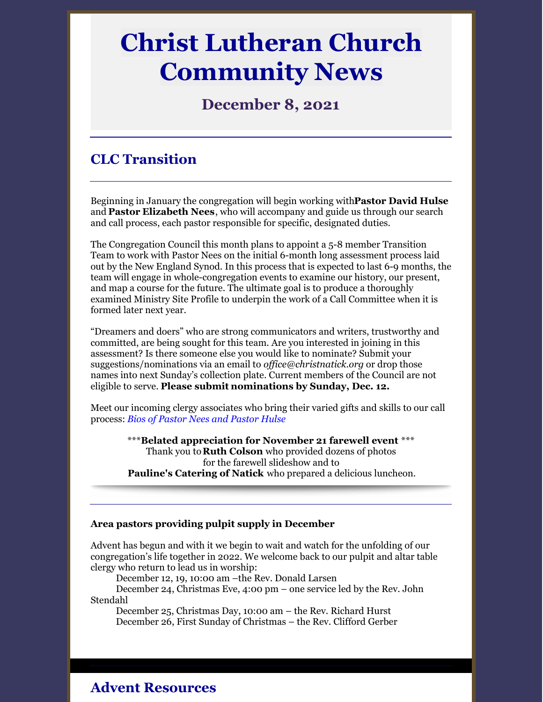# **Christ Lutheran Church Community News**

## **December 8, 2021**

# **CLC Transition**

Beginning in January the congregation will begin working with**Pastor David Hulse** and **Pastor Elizabeth Nees**, who will accompany and guide us through our search and call process, each pastor responsible for specific, designated duties.

The Congregation Council this month plans to appoint a 5-8 member Transition Team to work with Pastor Nees on the initial 6-month long assessment process laid out by the New England Synod. In this process that is expected to last 6-9 months, the team will engage in whole-congregation events to examine our history, our present, and map a course for the future. The ultimate goal is to produce a thoroughly examined Ministry Site Profile to underpin the work of a Call Committee when it is formed later next year.

"Dreamers and doers" who are strong communicators and writers, trustworthy and committed, are being sought for this team. Are you interested in joining in this assessment? Is there someone else you would like to nominate? Submit your suggestions/nominations via an email to *of [ice@christnatick.org](mailto:office@christnatick.org)* or drop those names into next Sunday's collection plate. Current members of the Council are not eligible to serve. **Please submit nominations by Sunday, Dec. 12.**

Meet our incoming clergy associates who bring their varied gifts and skills to our call process: *Bios of [Pastor](https://files.constantcontact.com/9ed0a1f9401/830f7039-eb97-4539-8919-057bdd780cc7.pdf) Nees and Pastor Hulse*

> \*\*\***Belated appreciation for November 21 farewell event** \*\*\* Thank you to**Ruth Colson** who provided dozens of photos for the farewell slideshow and to **Pauline's Catering of Natick** who prepared a delicious luncheon.

#### **Area pastors providing pulpit supply in December**

Advent has begun and with it we begin to wait and watch for the unfolding of our congregation's life together in 2022. We welcome back to our pulpit and altar table clergy who return to lead us in worship:

December 12, 19, 10:00 am –the Rev. Donald Larsen

December 24, Christmas Eve, 4:00 pm – one service led by the Rev. John Stendahl

December 25, Christmas Day, 10:00 am – the Rev. Richard Hurst December 26, First Sunday of Christmas – the Rev. Clifford Gerber

**Advent Resources**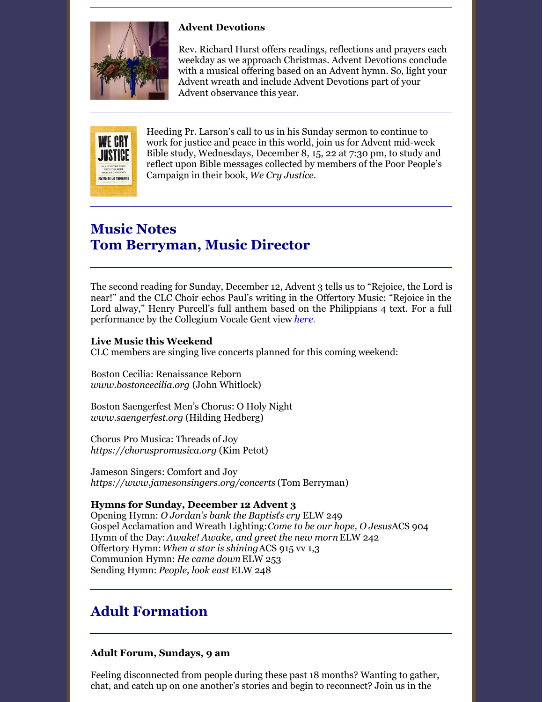

## **Advent Devotions**

Rev. Richard Hurst offers readings, reflections and prayers each weekday as we approach Christmas. Advent Devotions conclude with a musical offering based on an Advent hymn. So, light your Advent wreath and include Advent Devotions part of your Advent observance this year.



Heeding Pr. Larson's call to us in his Sunday sermon to continue to work for justice and peace in this world, join us for Advent mid-week Bible study, Wednesdays, December 8, 15, 22 at 7:30 pm, to study and reflect upon Bible messages collected by members of the Poor People's Campaign in their book, *We Cry Justice.*

## **Music Notes Tom Berryman, Music Director**

The second reading for Sunday, December 12, Advent 3 tells us to "Rejoice, the Lord is near!" and the CLC Choir echos Paul's writing in the Offertory Music: "Rejoice in the Lord alway," Henry Purcell's full anthem based on the Philippians 4 text. For a full performance by the Collegium Vocale Gent view *[here](https://www.youtube.com/watch?v=y6fNcuvRbjo)*.

### **Live Music this Weekend**

CLC members are singing live concerts planned for this coming weekend:

Boston Cecilia: Renaissance Reborn *[www.bostoncecilia.org](http://www.bostoncecilia.org/)* (John Whitlock)

Boston Saengerfest Men's Chorus: O Holy Night *[www.saengerfest.org](http://www.saengerfest.org/)* (Hilding Hedberg)

Chorus Pro Musica: Threads of Joy *[https://choruspromusica.org](https://choruspromusica.org/)* (Kim Petot)

Jameson Singers: Comfort and Joy *<https://www.jamesonsingers.org/concerts>* (Tom Berryman)

## **Hymns for Sunday, December 12 Advent 3**

Opening Hymn: *O Jordan's bank the Baptist's cry* ELW 249 Gospel Acclamation and Wreath Lighting:*Come to be our hope, O Jesus*ACS 904 Hymn of the Day: *Awake! Awake, and greet the new morn*ELW 242 Offertory Hymn: *When a star is shining*ACS 915 vv 1,3 Communion Hymn: *He came down*ELW 253 Sending Hymn: *People, look east* ELW 248

# **Adult Formation**

### **Adult Forum, Sundays, 9 am**

Feeling disconnected from people during these past 18 months? Wanting to gather, chat, and catch up on one another's stories and begin to reconnect? Join us in the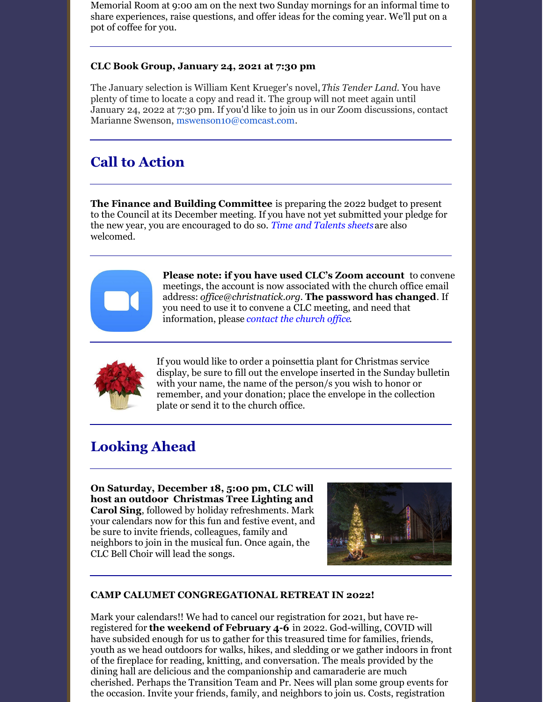Memorial Room at 9:00 am on the next two Sunday mornings for an informal time to share experiences, raise questions, and offer ideas for the coming year. We'll put on a pot of coffee for you.

## **CLC Book Group, January 24, 2021 at 7:30 pm**

The January selection is William Kent Krueger's novel,*This Tender Land.* You have plenty of time to locate a copy and read it. The group will not meet again until January 24, 2022 at 7:30 pm. If you'd like to join us in our Zoom discussions, contact Marianne Swenson, [mswenson10@comcast.com](mailto:mswenson10@comcast.com).

# **Call to Action**

**The Finance and Building Committee** is preparing the 2022 budget to present to the Council at its December meeting. If you have not yet submitted your pledge for the new year, you are encouraged to do so. *Time and [Talents](https://christnatick.org/give-now/) sheets*are also welcomed.



**Please note: if you have used CLC's Zoom account** to convene meetings, the account is now associated with the church office email address: *of [ice@christnatick.org](mailto:office@christnatick.org)*. **The password has changed**. If you need to use it to convene a CLC meeting, and need that information, please *[contact](mailto:christnatick@gmail.com) the church of ice*.



If you would like to order a poinsettia plant for Christmas service display, be sure to fill out the envelope inserted in the Sunday bulletin with your name, the name of the person/s you wish to honor or remember, and your donation; place the envelope in the collection plate or send it to the church office.

## **Looking Ahead**

**On Saturday, December 18, 5:00 pm, CLC will host an outdoor Christmas Tree Lighting and Carol Sing**, followed by holiday refreshments. Mark your calendars now for this fun and festive event, and be sure to invite friends, colleagues, family and neighbors to join in the musical fun. Once again, the CLC Bell Choir will lead the songs.



### **CAMP CALUMET CONGREGATIONAL RETREAT IN 2022!**

Mark your calendars!! We had to cancel our registration for 2021, but have reregistered for **the weekend of February 4-6** in 2022. God-willing, COVID will have subsided enough for us to gather for this treasured time for families, friends, youth as we head outdoors for walks, hikes, and sledding or we gather indoors in front of the fireplace for reading, knitting, and conversation. The meals provided by the dining hall are delicious and the companionship and camaraderie are much cherished. Perhaps the Transition Team and Pr. Nees will plan some group events for the occasion. Invite your friends, family, and neighbors to join us. Costs, registration